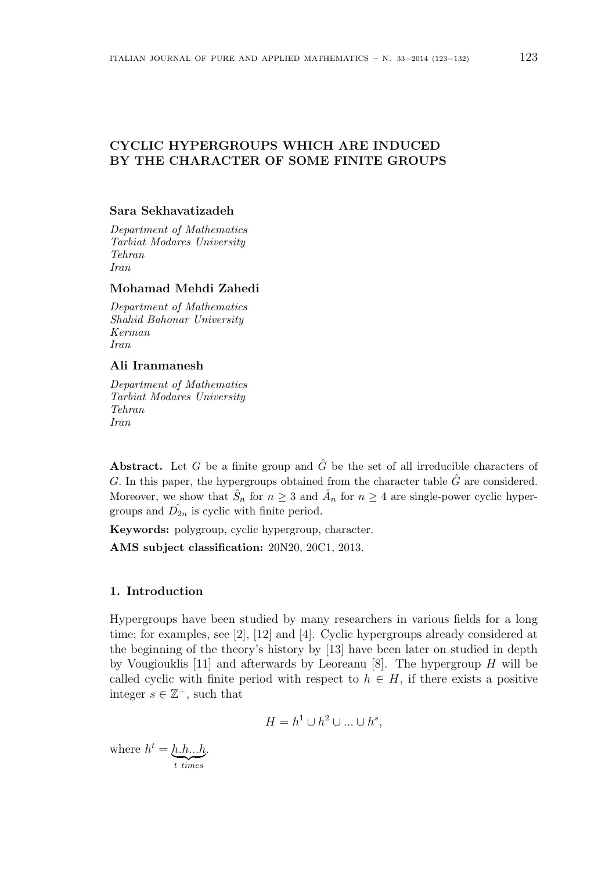# **CYCLIC HYPERGROUPS WHICH ARE INDUCED BY THE CHARACTER OF SOME FINITE GROUPS**

## **Sara Sekhavatizadeh**

*Department of Mathematics Tarbiat Modares University Tehran Iran*

## **Mohamad Mehdi Zahedi**

*Department of Mathematics Shahid Bahonar University Kerman Iran*

#### **Ali Iranmanesh**

*Department of Mathematics Tarbiat Modares University Tehran Iran*

**Abstract.** Let *G* be a finite group and  $\hat{G}$  be the set of all irreducible characters of *G.* In this paper, the hypergroups obtained from the character table *G*ˆ are considered. Moreover, we show that  $\hat{S}_n$  for  $n \geq 3$  and  $\hat{A}_n$  for  $n \geq 4$  are single-power cyclic hypergroups and  $\hat{D}_{2n}$  is cyclic with finite period.

**Keywords:** polygroup, cyclic hypergroup, character.

**AMS subject classification:** 20N20, 20C1, 2013.

#### **1. Introduction**

Hypergroups have been studied by many researchers in various fields for a long time; for examples, see [2], [12] and [4]. Cyclic hypergroups already considered at the beginning of the theory's history by [13] have been later on studied in depth by Vougiouklis [11] and afterwards by Leoreanu [8]. The hypergroup *H* will be called cyclic with finite period with respect to  $h \in H$ , if there exists a positive integer  $s \in \mathbb{Z}^+$ , such that

$$
H = h1 \cup h2 \cup ... \cup hs,
$$

where  $h^t = \underbrace{h.h...h}_{t \text{ times}}$ .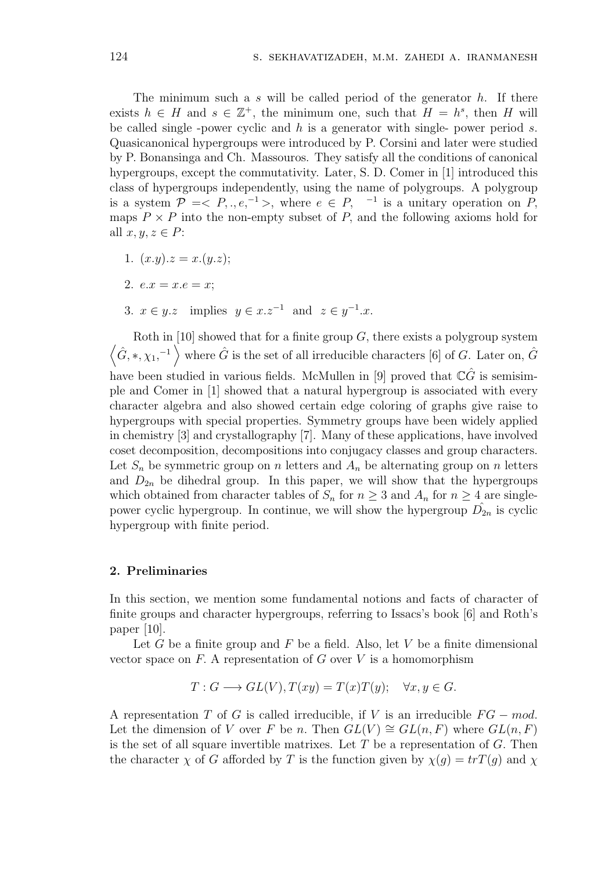The minimum such a *s* will be called period of the generator *h*. If there exists  $h \in H$  and  $s \in \mathbb{Z}^+$ , the minimum one, such that  $H = h^s$ , then *H* will be called single -power cyclic and *h* is a generator with single- power period *s*. Quasicanonical hypergroups were introduced by P. Corsini and later were studied by P. Bonansinga and Ch. Massouros. They satisfy all the conditions of canonical hypergroups, except the commutativity. Later, S. D. Comer in [1] introduced this class of hypergroups independently, using the name of polygroups. A polygroup is a system  $\mathcal{P}$  = <  $P, \ldots, e, \{-1\}$ , where  $e \in P, \{-1\}$  is a unitary operation on  $P$ , maps  $P \times P$  into the non-empty subset of  $P$ , and the following axioms hold for all  $x, y, z \in P$ :

- 1.  $(x,y)z = x.(y.z)$ ;
- 2.  $e.x = x.e = x;$
- 3.  $x \in y.z$  implies  $y \in x.z^{-1}$  and  $z \in y^{-1}.x$ .

 $\langle \hat{G}, *, \chi_1, ^{-1} \rangle$  where  $\hat{G}$  is the set of all irreducible characters [6] of *G*. Later on,  $\hat{G}$ Roth in [10] showed that for a finite group *G,* there exists a polygroup system have been studied in various fields. McMullen in [9] proved that  $\mathbb{C}\hat{G}$  is semisimple and Comer in [1] showed that a natural hypergroup is associated with every character algebra and also showed certain edge coloring of graphs give raise to hypergroups with special properties. Symmetry groups have been widely applied in chemistry [3] and crystallography [7]. Many of these applications, have involved coset decomposition, decompositions into conjugacy classes and group characters. Let  $S_n$  be symmetric group on *n* letters and  $A_n$  be alternating group on *n* letters and  $D_{2n}$  be dihedral group. In this paper, we will show that the hypergroups which obtained from character tables of  $S_n$  for  $n \geq 3$  and  $A_n$  for  $n \geq 4$  are singlepower cyclic hypergroup. In continue, we will show the hypergroup  $\hat{D}_{2n}$  is cyclic hypergroup with finite period.

#### **2. Preliminaries**

In this section, we mention some fundamental notions and facts of character of finite groups and character hypergroups, referring to Issacs's book [6] and Roth's paper [10].

Let *G* be a finite group and *F* be a field. Also, let *V* be a finite dimensional vector space on  $F$ . A representation of  $G$  over  $V$  is a homomorphism

$$
T: G \longrightarrow GL(V), T(xy) = T(x)T(y); \quad \forall x, y \in G.
$$

A representation *T* of *G* is called irreducible, if *V* is an irreducible *F G − mod.* Let the dimension of *V* over *F* be *n*. Then  $GL(V) \cong GL(n, F)$  where  $GL(n, F)$ is the set of all square invertible matrixes. Let *T* be a representation of *G.* Then the character  $\chi$  of *G* afforded by *T* is the function given by  $\chi(g) = trT(g)$  and  $\chi$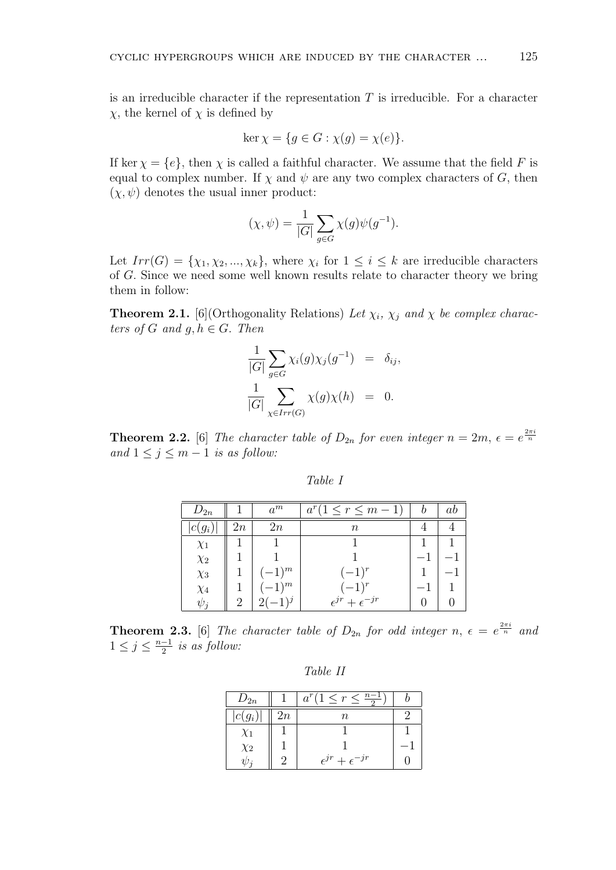is an irreducible character if the representation *T* is irreducible. For a character *χ,* the kernel of *χ* is defined by

$$
\ker \chi = \{ g \in G : \chi(g) = \chi(e) \}.
$$

If ker  $\chi = \{e\}$ , then  $\chi$  is called a faithful character. We assume that the field F is equal to complex number. If  $\chi$  and  $\psi$  are any two complex characters of *G*, then  $(\chi, \psi)$  denotes the usual inner product:

$$
(\chi, \psi) = \frac{1}{|G|} \sum_{g \in G} \chi(g) \psi(g^{-1}).
$$

Let  $Irr(G) = \{\chi_1, \chi_2, ..., \chi_k\}$ , where  $\chi_i$  for  $1 \leq i \leq k$  are irreducible characters of *G.* Since we need some well known results relate to character theory we bring them in follow:

**Theorem 2.1.** [6](Orthogonality Relations) *Let*  $\chi_i$ ,  $\chi_j$  *and*  $\chi$  *be complex characters of*  $G$  *and*  $g, h \in G$ *. Then* 

$$
\frac{1}{|G|} \sum_{g \in G} \chi_i(g) \chi_j(g^{-1}) = \delta_{ij},
$$
  

$$
\frac{1}{|G|} \sum_{\chi \in Irr(G)} \chi(g) \chi(h) = 0.
$$

**Theorem 2.2.** [6] *The character table of*  $D_{2n}$  *for even integer*  $n = 2m$ ,  $\epsilon = e^{\frac{2\pi i}{n}}$ *and*  $1 ≤ j ≤ m − 1$  *is as follow:* 

| $a$ ble |  |
|---------|--|
|---------|--|

| $D_{2n}$ |                | $a^m$      | $a^r(1 \leq r \leq m-1)$         | Ŋ | ab |
|----------|----------------|------------|----------------------------------|---|----|
| $c(g_i)$ | 2n             | 2n         | $\, n$                           |   |    |
| $\chi_1$ |                |            |                                  |   |    |
| $\chi_2$ |                |            |                                  |   |    |
| $\chi_3$ |                | $(-1)^m$   | $(-1)^r$                         |   |    |
| $\chi_4$ |                | $(-1)^{m}$ | $(-1)^r$                         |   |    |
| $\psi_i$ | $\overline{2}$ |            | $\epsilon^{jr} + \epsilon^{-jr}$ |   |    |

**Theorem 2.3.** [6] *The character table of*  $D_{2n}$  *for odd integer*  $n, \epsilon = e^{\frac{2\pi i}{n}}$  *and*  $1 \leq j \leq \frac{n-1}{2}$  *is as follow:* 

*Table II*

| $D_{2n}$   |    | $a^r(1 \leq r \leq \frac{n-1}{2})$ |  |
|------------|----|------------------------------------|--|
| $ c(g_i) $ | 2n | n                                  |  |
| $\chi_1$   |    |                                    |  |
| $\chi_2$   |    |                                    |  |
|            |    | $\epsilon^{jr} + \epsilon^{-jr}$   |  |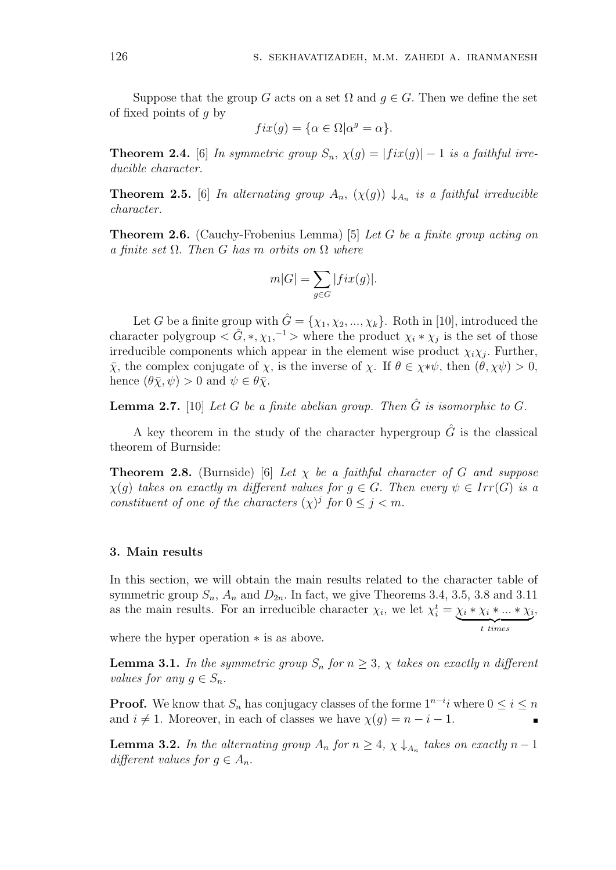Suppose that the group *G* acts on a set  $\Omega$  and  $q \in G$ . Then we define the set of fixed points of *g* by

$$
fix(g) = \{\alpha \in \Omega | \alpha^g = \alpha\}.
$$

**Theorem 2.4.** [6] *In symmetric group*  $S_n$ ,  $\chi(g) = |fix(g)| - 1$  *is a faithful irreducible character.*

**Theorem 2.5.** [6] *In alternating group*  $A_n$ ,  $(\chi(g)) \downarrow_{A_n}$  *is a faithful irreducible character.*

**Theorem 2.6.** (Cauchy-Frobenius Lemma) [5] *Let G be a finite group acting on a finite set* Ω*. Then G has m orbits on* Ω *where*

$$
m|G| = \sum_{g \in G} |fix(g)|.
$$

Let *G* be a finite group with  $\hat{G} = \{\chi_1, \chi_2, ..., \chi_k\}$ . Roth in [10], introduced the character polygroup  $\langle G, *, \chi_1, ^{-1} \rangle$  where the product  $\chi_i * \chi_j$  is the set of those irreducible components which appear in the element wise product  $\chi_i \chi_j$ . Further, *χ*, the complex conjugate of *χ*, is the inverse of *χ*. If  $\theta \in \chi * \psi$ , then  $(\theta, \chi \psi) > 0$ , hence  $(\theta \bar{\chi}, \psi) > 0$  and  $\psi \in \theta \bar{\chi}$ .

**Lemma 2.7.** [10] *Let*  $G$  *be a finite abelian group. Then*  $\hat{G}$  *is isomorphic to*  $G$ .

A key theorem in the study of the character hypergroup  $\hat{G}$  is the classical theorem of Burnside:

**Theorem 2.8.** (Burnside) [6] *Let*  $\chi$  *be a faithful character of G and suppose*  $\chi(g)$  *takes on exactly m different values for*  $g \in G$ . *Then every*  $\psi \in Irr(G)$  *is a constituent of one of the characters*  $(\chi)^j$  *for*  $0 \leq j \leq m$ .

## **3. Main results**

In this section, we will obtain the main results related to the character table of symmetric group  $S_n$ ,  $A_n$  and  $D_{2n}$ . In fact, we give Theorems 3.4, 3.5, 3.8 and 3.11 as the main results. For an irreducible character  $\chi_i$ , we let  $\chi_i^t = \chi_i * \chi_i * ... * \chi_i$  ${t}$   ${times}$ *,*

where the hyper operation *∗* is as above.

**Lemma 3.1.** *In the symmetric group*  $S_n$  *for*  $n \geq 3$ *,*  $\chi$  *takes on exactly n* different *values for any*  $g \in S_n$ *.* 

**Proof.** We know that  $S_n$  has conjugacy classes of the forme  $1^{n-i}$ *i* where  $0 \le i \le n$ and  $i \neq 1$ . Moreover, in each of classes we have  $\chi(g) = n - i - 1$ .

**Lemma 3.2.** *In the alternating group*  $A_n$  *for*  $n \geq 4$ ,  $\chi \downarrow A_n$  *takes on exactly*  $n-1$ *different values for*  $q \in A_n$ *.*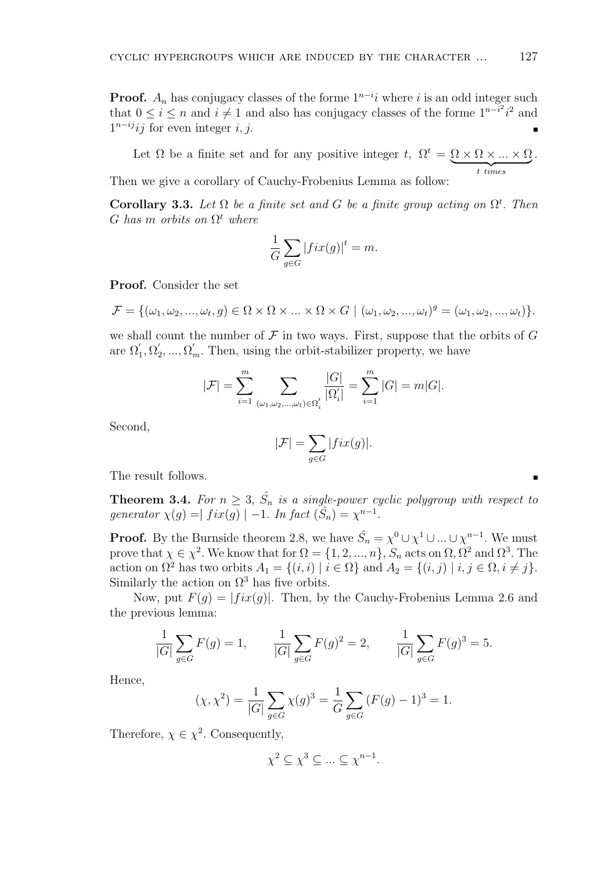**Proof.**  $A_n$  has conjugacy classes of the forme  $1^{n-i}i$  where *i* is an odd integer such that  $0 \leq i \leq n$  and  $i \neq 1$  and also has conjugacy classes of the forme  $1^{n-i^2}i^2$  and  $1^{n-ij}$ *ij* for even integer *i, j*.

Let  $\Omega$  be a finite set and for any positive integer *t*,  $\Omega^t = \Omega \times \Omega \times ... \times \Omega$  ${t}$  times *.* Then we give a corollary of Cauchy-Frobenius Lemma as follow:

**Corollary 3.3.** Let  $\Omega$  be a finite set and G be a finite group acting on  $\Omega^t$ . Then  $G$  *has m orbits on*  $\Omega^t$  *where* 

$$
\frac{1}{G} \sum_{g \in G} |fix(g)|^t = m.
$$

**Proof.** Consider the set

$$
\mathcal{F} = \{(\omega_1, \omega_2, ..., \omega_t, g) \in \Omega \times \Omega \times ... \times \Omega \times G \mid (\omega_1, \omega_2, ..., \omega_t)^g = (\omega_1, \omega_2, ..., \omega_t)\}.
$$

we shall count the number of  $\mathcal F$  in two ways. First, suppose that the orbits of  $G$ are  $\Omega'_1, \Omega'_2, \ldots, \Omega'_m$ . Then, using the orbit-stabilizer property, we have

$$
|\mathcal{F}| = \sum_{i=1}^{m} \sum_{(\omega_1, \omega_2, ..., \omega_t) \in \Omega_i'} \frac{|G|}{|\Omega_i'|} = \sum_{i=1}^{m} |G| = m|G|.
$$

Second,

$$
|\mathcal{F}| = \sum_{g \in G} |fix(g)|.
$$

The result follows.

**Theorem 3.4.** For  $n \geq 3$ ,  $\hat{S}_n$  is a single-power cyclic polygroup with respect to *generator*  $\chi(g) = |fix(g)| - 1$ *. In fact*  $(\hat{S}_n) = \chi^{n-1}$ *.* 

**Proof.** By the Burnside theorem 2.8, we have  $\hat{S}_n = \chi^0 \cup \chi^1 \cup ... \cup \chi^{n-1}$ . We must prove that  $\chi \in \chi^2$ . We know that for  $\Omega = \{1, 2, ..., n\}$ ,  $S_n$  acts on  $\Omega$ ,  $\Omega^2$  and  $\Omega^3$ . The action on  $\Omega^2$  has two orbits  $A_1 = \{(i, i) | i \in \Omega\}$  and  $A_2 = \{(i, j) | i, j \in \Omega, i \neq j\}$ . Similarly the action on  $\Omega^3$  has five orbits.

Now, put  $F(q) = |fix(q)|$ . Then, by the Cauchy-Frobenius Lemma 2.6 and the previous lemma:

$$
\frac{1}{|G|} \sum_{g \in G} F(g) = 1, \qquad \frac{1}{|G|} \sum_{g \in G} F(g)^2 = 2, \qquad \frac{1}{|G|} \sum_{g \in G} F(g)^3 = 5.
$$

Hence,

$$
(\chi, \chi^2) = \frac{1}{|G|} \sum_{g \in G} \chi(g)^3 = \frac{1}{G} \sum_{g \in G} (F(g) - 1)^3 = 1.
$$

Therefore,  $\chi \in \chi^2$ . Consequently,

$$
\chi^2 \subseteq \chi^3 \subseteq \ldots \subseteq \chi^{n-1}.
$$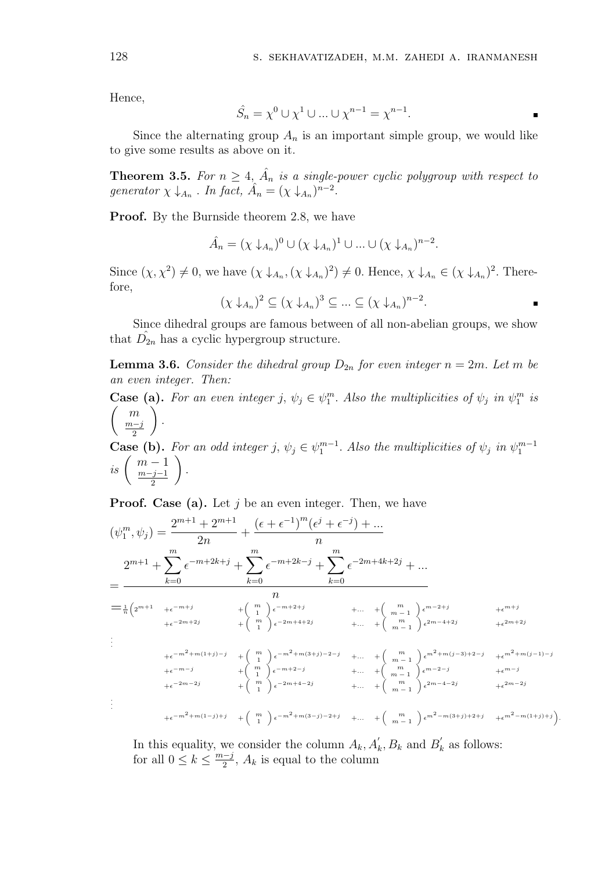Hence,

$$
\hat{S}_n = \chi^0 \cup \chi^1 \cup \ldots \cup \chi^{n-1} = \chi^{n-1}.
$$

Since the alternating group  $A_n$  is an important simple group, we would like to give some results as above on it.

**Theorem 3.5.** For  $n \geq 4$ ,  $\hat{A}_n$  is a single-power cyclic polygroup with respect to *generator*  $\chi \downarrow_{A_n}$ . *In fact,*  $\hat{A}_n = (\chi \downarrow_{A_n})^{n-2}$ .

**Proof.** By the Burnside theorem 2.8, we have

$$
\hat{A}_n = (\chi \downarrow_{A_n})^0 \cup (\chi \downarrow_{A_n})^1 \cup \dots \cup (\chi \downarrow_{A_n})^{n-2}.
$$

Since  $(\chi, \chi^2) \neq 0$ , we have  $(\chi \downarrow_{A_n}, (\chi \downarrow_{A_n})^2) \neq 0$ . Hence,  $\chi \downarrow_{A_n} \in (\chi \downarrow_{A_n})^2$ . Therefore,

 $(\chi \downarrow_{A_n})^2 \subseteq (\chi \downarrow_{A_n})^3 \subseteq ... \subseteq (\chi \downarrow_{A_n})^{n-2}$ .

Since dihedral groups are famous between of all non-abelian groups, we show that  $\hat{D}_{2n}$  has a cyclic hypergroup structure.

**Lemma 3.6.** *Consider the dihedral group*  $D_{2n}$  *for even integer*  $n = 2m$ *. Let m be an even integer. Then:*

**Case (a).** For an even integer *j*,  $\psi_j \in \psi_1^m$ . Also the multiplicities of  $\psi_j$  in  $\psi_1^m$  is ( *m m−j* 2  $\sqrt{ }$ *.*

**Case (b).** For an odd integer *j*,  $\psi_j \in \psi_1^{m-1}$ . Also the multiplicities of  $\psi_j$  in  $\psi_1^{m-1}$  $i s \begin{pmatrix} m-1 \\ m-i-1 \end{pmatrix}$ *m−j−*1 2  $\setminus$ *.*

**Proof.** Case (a). Let *j* be an even integer. Then, we have

$$
(\psi_1^m, \psi_j) = \frac{2^{m+1} + 2^{m+1}}{2n} + \frac{(\epsilon + \epsilon^{-1})^m (\epsilon^j + \epsilon^{-j}) + \dots}{n}
$$
  
\n
$$
= \frac{2^{m+1} + \sum_{k=0}^m \epsilon^{-m+2k+j} + \sum_{k=0}^m \epsilon^{-m+2k-j} + \sum_{k=0}^m \epsilon^{-2m+4k+2j} + \dots}{n}
$$
  
\n
$$
= \frac{1}{n} (2^{m+1} + \epsilon^{-m+j} + {m \choose 1} \epsilon^{-m+2+j} + \dots + {m \choose m-1} \epsilon^{m-2+j} + \epsilon^{m+j} + \epsilon^{-m+j} + \epsilon^{-m+j} + \epsilon^{-m+j} + \epsilon^{-m+j} + \epsilon^{-m+j} + \epsilon^{-m+j} + \epsilon^{-m+j} + \epsilon^{-m+j} + \epsilon^{-m+j} + \epsilon^{-m+j} + \epsilon^{-m+j} + \epsilon^{-m+j} + \epsilon^{-m+j} + \epsilon^{-m+j} + \epsilon^{-m+j} + \epsilon^{-m+j} + \epsilon^{-m+j} + \epsilon^{-m+j} + \epsilon^{-m+j} + \epsilon^{-m+j} + \epsilon^{-m+j} + \epsilon^{-m+j} + \epsilon^{-m+j} + \epsilon^{-m+j} + \epsilon^{-m+j} + \epsilon^{-m+j} + \epsilon^{-m+j} + \epsilon^{-m+j} + \epsilon^{-m+j} + \epsilon^{-m+j} + \epsilon^{-m+j} + \epsilon^{-m+j} + \epsilon^{-m+j} + \epsilon^{-m+j} + \epsilon^{-m+j} + \epsilon^{-m+j} + \epsilon^{-m+j} + \epsilon^{-m+j} + \epsilon^{-m+j} + \epsilon^{-m+j} + \epsilon^{-m+j} + \epsilon^{-m+j} + \epsilon^{-m+j} + \epsilon^{-m+j} + \epsilon^{-m+j} + \epsilon^{-m+j} + \epsilon^{-m+j} + \epsilon^{-m+j} + \epsilon^{-m+j} + \epsilon^{-m+j} + \epsilon^{-m+j} + \epsilon^{-m+j} + \epsilon^{-m+j} + \epsilon^{-m+j} + \epsilon^{-m+j} + \epsilon^{-m+j} + \epsilon^{-m+j} + \epsilon^{-m+j} + \epsilon^{-m+j} + \epsilon^{-m+j} + \epsilon^{-m+j} + \epsilon^{-m+j} + \epsilon^{-m+j} + \epsilon^{-m+j} + \epsilon^{-m+j} + \epsilon^{-m+j} + \epsilon^{-m+j} + \epsilon^{-m+j} + \epsilon^{-m+j} + \epsilon^{-m+j} + \epsilon^{-m+j} + \epsilon^{-m+j} + \epsilon^{-m+j} + \epsilon^{-m+j} + \epsilon^{-m+j} + \epsilon^{-m+j} +
$$

In this equality, we consider the column  $A_k$ ,  $A'_k$ ,  $B_k$  and  $B'_k$  as follows: for all  $0 \leq k \leq \frac{m-j}{2}$ ,  $A_k$  is equal to the column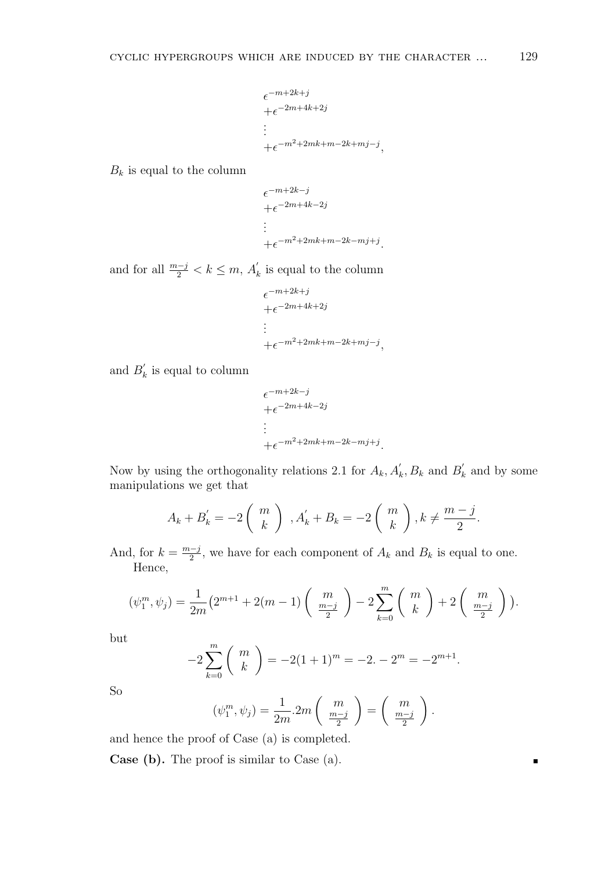$$
\epsilon^{-m+2k+j}
$$
  
+ $\epsilon^{-2m+4k+2j}$   

$$
\vdots
$$
  
+ $\epsilon^{-m^2+2mk+m-2k+mj-j}$ 

*,*

*.*

*,*

 $B_k$  is equal to the column

$$
\epsilon^{-m+2k-j}
$$
\n
$$
+ \epsilon^{-2m+4k-2j}
$$
\n
$$
\vdots
$$
\n
$$
+ \epsilon^{-m^2+2mk+m-2k-mj+j}
$$

and for all  $\frac{m-j}{2} < k \leq m$ ,  $A'_{k}$  is equal to the column

$$
\epsilon^{-m+2k+j}
$$
  
+ $\epsilon^{-2m+4k+2j}$   

$$
\vdots
$$
  
+ $\epsilon^{-m^2+2mk+m-2k+mj-j}$ 

and  $B'_k$  is equal to column

$$
\epsilon^{-m+2k-j}
$$
  
+
$$
\epsilon^{-2m+4k-2j}
$$
  
:\n
$$
+\epsilon^{-m^2+2mk+m-2k-mj+j}.
$$

Now by using the orthogonality relations 2.1 for  $A_k$ ,  $A'_k$ ,  $B_k$  and  $B'_k$  and by some manipulations we get that

$$
A_k + B'_k = -2\left(\begin{array}{c}m\\k\end{array}\right) , A'_k + B_k = -2\left(\begin{array}{c}m\\k\end{array}\right), k \neq \frac{m-j}{2}.
$$

And, for  $k = \frac{m-j}{2}$ , we have for each component of  $A_k$  and  $B_k$  is equal to one. Hence,

$$
(\psi_1^m, \psi_j) = \frac{1}{2m} (2^{m+1} + 2(m-1) \binom{m}{\frac{m-j}{2}} - 2 \sum_{k=0}^m \binom{m}{k} + 2 \binom{m}{\frac{m-j}{2}}).
$$

but

$$
-2\sum_{k=0}^{m} {m \choose k} = -2(1+1)^m = -2. -2^m = -2^{m+1}.
$$

So

$$
(\psi_1^m, \psi_j) = \frac{1}{2m} \cdot 2m \left( \begin{array}{c} m \\ \frac{m-j}{2} \end{array} \right) = \left( \begin{array}{c} m \\ \frac{m-j}{2} \end{array} \right).
$$

and hence the proof of Case (a) is completed.

**Case (b).** The proof is similar to Case (a).

٠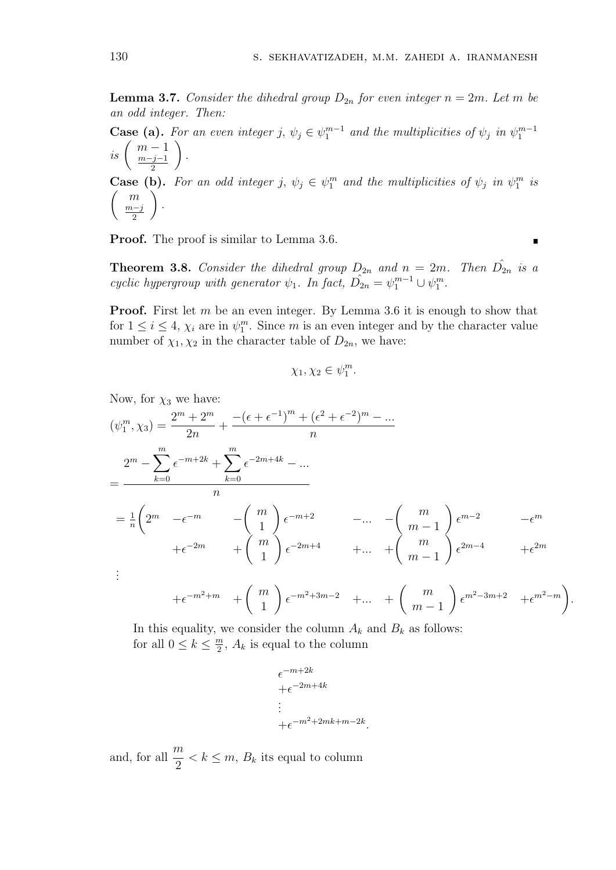**Lemma 3.7.** *Consider the dihedral group*  $D_{2n}$  *for even integer*  $n = 2m$ *. Let m be an odd integer. Then:*

**Case (a).** For an even integer *j*,  $\psi_j \in \psi_1^{m-1}$  and the multiplicities of  $\psi_j$  in  $\psi_1^{m-1}$  $i s \begin{pmatrix} m-1 \\ m-i-1 \end{pmatrix}$ *m−j−*1 2  $\setminus$ *.* **Case (b).** For an odd integer *j*,  $\psi_j \in \psi_1^m$  and the multiplicities of  $\psi_j$  in  $\psi_1^m$  is ( *m m−j* 2  $\sum$ *.*

**Proof.** The proof is similar to Lemma 3.6.

**Theorem 3.8.** Consider the dihedral group  $D_{2n}$  and  $n = 2m$ . Then  $D_{2n}$  is a *cyclic hypergroup with generator*  $\psi_1$ *. In fact,*  $\hat{D}_{2n} = \psi_1^{m-1} \cup \psi_1^m$ *.* 

**Proof.** First let *m* be an even integer. By Lemma 3.6 it is enough to show that for  $1 \leq i \leq 4$ ,  $\chi_i$  are in  $\psi_1^m$ . Since *m* is an even integer and by the character value number of  $\chi_1, \chi_2$  in the character table of  $D_{2n}$ , we have:

$$
\chi_1, \chi_2 \in \psi_1^m.
$$

Now, for  $\chi_3$  we have:

$$
(\psi_1^m, \chi_3) = \frac{2^m + 2^m}{2n} + \frac{- (\epsilon + \epsilon^{-1})^m + (\epsilon^2 + \epsilon^{-2})^m - \dots}{n}
$$
  
\n
$$
= \frac{2^m - \sum_{k=0}^m \epsilon^{-m+2k} + \sum_{k=0}^m \epsilon^{-2m+4k} - \dots}{n}
$$
  
\n
$$
= \frac{1}{n} \left( 2^m - \epsilon^{-m} - \left( \begin{array}{c} m \\ 1 \end{array} \right) \epsilon^{-m+2} - \dots - \left( \begin{array}{c} m \\ m-1 \end{array} \right) \epsilon^{m-2} - \epsilon^m
$$
  
\n
$$
+ \epsilon^{-2m} + \left( \begin{array}{c} m \\ 1 \end{array} \right) \epsilon^{-2m+4} + \dots + \left( \begin{array}{c} m \\ m-1 \end{array} \right) \epsilon^{2m-4} + \epsilon^{2m}
$$
  
\n:  
\n:  
\n
$$
+ \epsilon^{-m^2+m} + \left( \begin{array}{c} m \\ 1 \end{array} \right) \epsilon^{-m^2+3m-2} + \dots + \left( \begin{array}{c} m \\ m \end{array} \right) \epsilon^{m^2-3m+2} + \epsilon^{m^2-m}.
$$

*m −* 1

In this equality, we consider the column 
$$
A_k
$$
 and  $B_k$  as follows:  
for all  $0 \le k \le \frac{m}{2}$ ,  $A_k$  is equal to the column

1

$$
\epsilon^{-m+2k}
$$
  
+
$$
\epsilon^{-2m+4k}
$$
  
:\n
$$
+\epsilon^{-m^2+2mk+m-2k}.
$$

and, for all  $\frac{m}{2}$  $\frac{n}{2} < k \leq m$ ,  $B_k$  its equal to column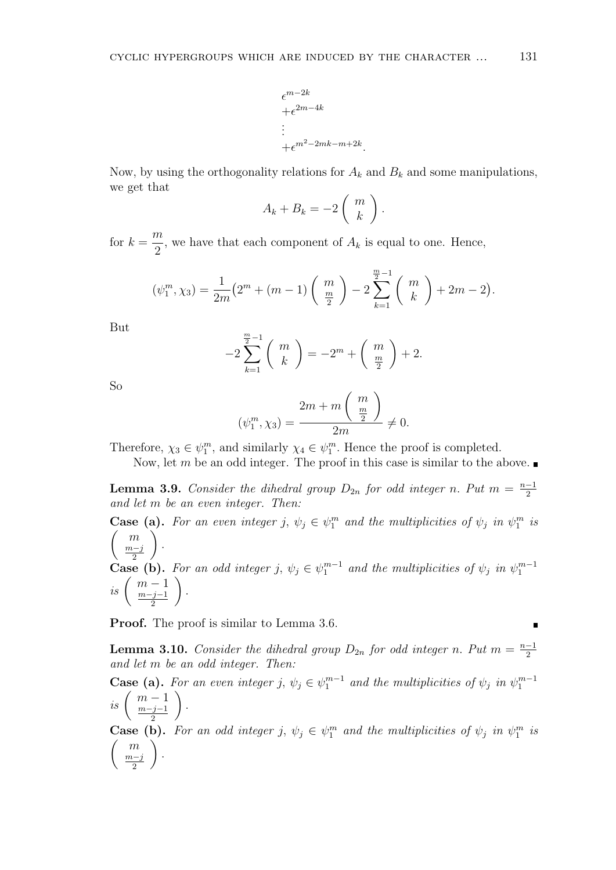$$
\epsilon^{m-2k}
$$
  
 
$$
+ \epsilon^{2m-4k}
$$
  
 
$$
\vdots
$$
  
 
$$
+ \epsilon^{m^2-2mk-m+2k}.
$$

Now, by using the orthogonality relations for  $A_k$  and  $B_k$  and some manipulations, we get that

$$
A_k + B_k = -2\left(\begin{array}{c} m \\ k \end{array}\right).
$$

for  $k =$ *m*  $\frac{\pi}{2}$ , we have that each component of  $A_k$  is equal to one. Hence,

$$
(\psi_1^m, \chi_3) = \frac{1}{2m} (2^m + (m-1) \binom{m}{\frac{m}{2}} - 2 \sum_{k=1}^{\frac{m}{2}-1} \binom{m}{k} + 2m - 2).
$$

But

$$
-2\sum_{k=1}^{\frac{m}{2}-1} {m \choose k} = -2^m + {m \choose \frac{m}{2}} + 2.
$$

So

$$
(\psi_1^m, \chi_3) = \frac{2m + m\left(\begin{array}{c} m \\ \frac{m}{2} \end{array}\right)}{2m} \neq 0.
$$

Therefore,  $\chi_3 \in \psi_1^m$ , and similarly  $\chi_4 \in \psi_1^m$ . Hence the proof is completed.

Now, let *m* be an odd integer. The proof in this case is similar to the above.

**Lemma 3.9.** *Consider the dihedral group*  $D_{2n}$  *for odd integer n. Put*  $m = \frac{n-1}{2}$ *and let m be an even integer. Then:*

**Case (a).** For an even integer *j*,  $\psi_j \in \psi_1^m$  and the multiplicities of  $\psi_j$  in  $\psi_1^m$  is ( *m m−j* 2  $\sqrt{ }$ *.* **Case (b).** For an odd integer *j*,  $\psi_j \in \psi_1^{m-1}$  and the multiplicities of  $\psi_j$  in  $\psi_1^{m-1}$  $i s \begin{pmatrix} m-1 \\ m-i-1 \end{pmatrix}$ *m−j−*1 2  $\setminus$ *.*

**Proof.** The proof is similar to Lemma 3.6.

**Lemma 3.10.** *Consider the dihedral group*  $D_{2n}$  *for odd integer n. Put*  $m = \frac{n-1}{2}$ *and let m be an odd integer. Then:*

**Case (a).** For an even integer *j*,  $\psi_j \in \psi_1^{m-1}$  and the multiplicities of  $\psi_j$  in  $\psi_1^{m-1}$  $i s \begin{pmatrix} m-1 \\ m-i-1 \end{pmatrix}$ *m−j−*1 2  $\setminus$ *.*

**Case (b).** For an odd integer *j*,  $\psi_j \in \psi_1^m$  and the multiplicities of  $\psi_j$  in  $\psi_1^m$  is ( *m m−j* 2  $\sum$ *.*